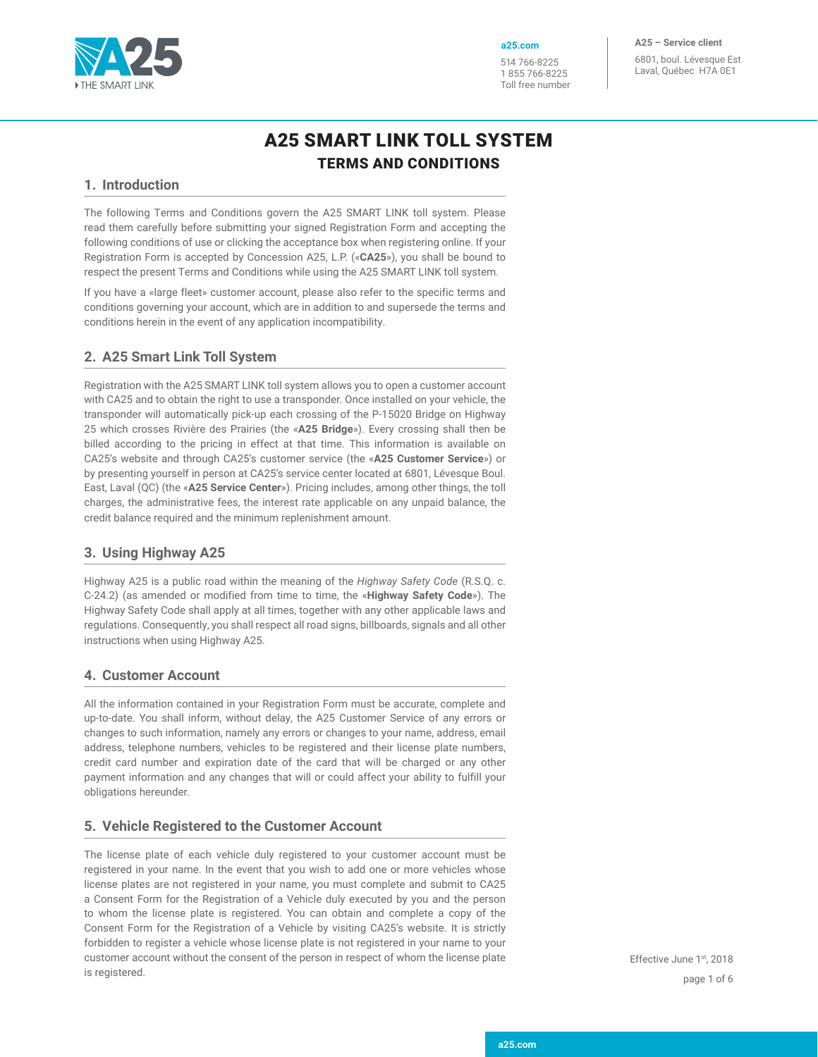

**a25.com**

1 855 766-8225 Toll free number 514 766-8225

**A25 – Service client** 6801, boul. Lévesque Est Laval, Québec H7A 0E1

# A25 SMART LINK TOLL SYSTEM TERMS AND CONDITIONS

## **1. Introduction**

The following Terms and Conditions govern the A25 SMART LINK toll system. Please read them carefully before submitting your signed Registration Form and accepting the following conditions of use or clicking the acceptance box when registering online. If your Registration Form is accepted by Concession A25, L.P. («**CA25**»), you shall be bound to respect the present Terms and Conditions while using the A25 SMART LINK toll system.

If you have a «large fleet» customer account, please also refer to the specific terms and conditions governing your account, which are in addition to and supersede the terms and conditions herein in the event of any application incompatibility.

# **2. A25 Smart Link Toll System**

Registration with the A25 SMART LINK toll system allows you to open a customer account with CA25 and to obtain the right to use a transponder. Once installed on your vehicle, the transponder will automatically pick-up each crossing of the P-15020 Bridge on Highway 25 which crosses Rivière des Prairies (the «**A25 Bridge**»). Every crossing shall then be billed according to the pricing in effect at that time. This information is available on CA25's website and through CA25's customer service (the «**A25 Customer Service**») or by presenting yourself in person at CA25's service center located at 6801, Lévesque Boul. East, Laval (QC) (the «**A25 Service Center**»). Pricing includes, among other things, the toll charges, the administrative fees, the interest rate applicable on any unpaid balance, the credit balance required and the minimum replenishment amount.

# **3. Using Highway A25**

Highway A25 is a public road within the meaning of the *Highway Safety Code* (R.S.Q. c. C-24.2) (as amended or modified from time to time, the «**Highway Safety Code**»). The Highway Safety Code shall apply at all times, together with any other applicable laws and regulations. Consequently, you shall respect all road signs, billboards, signals and all other instructions when using Highway A25.

## **4. Customer Account**

All the information contained in your Registration Form must be accurate, complete and up-to-date. You shall inform, without delay, the A25 Customer Service of any errors or changes to such information, namely any errors or changes to your name, address, email address, telephone numbers, vehicles to be registered and their license plate numbers, credit card number and expiration date of the card that will be charged or any other payment information and any changes that will or could affect your ability to fulfill your obligations hereunder.

## **5. Vehicle Registered to the Customer Account**

The license plate of each vehicle duly registered to your customer account must be registered in your name. In the event that you wish to add one or more vehicles whose license plates are not registered in your name, you must complete and submit to CA25 a Consent Form for the Registration of a Vehicle duly executed by you and the person to whom the license plate is registered. You can obtain and complete a copy of the Consent Form for the Registration of a Vehicle by visiting CA25's website. It is strictly forbidden to register a vehicle whose license plate is not registered in your name to your customer account without the consent of the person in respect of whom the license plate is registered.

page 1 of 6 Effective June 1st, 2018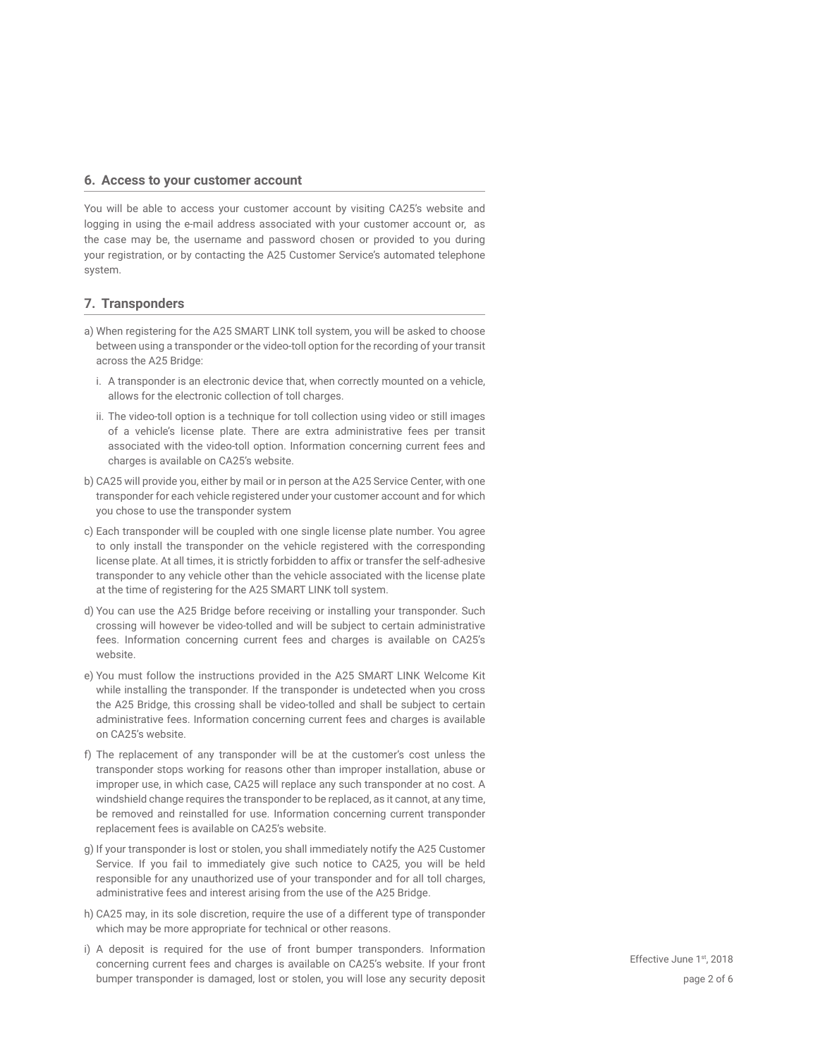#### **6. Access to your customer account**

You will be able to access your customer account by visiting CA25's website and logging in using the e-mail address associated with your customer account or, as the case may be, the username and password chosen or provided to you during your registration, or by contacting the A25 Customer Service's automated telephone system.

#### **7. Transponders**

- a) When registering for the A25 SMART LINK toll system, you will be asked to choose between using a transponder or the video-toll option for the recording of your transit across the A25 Bridge:
	- i. A transponder is an electronic device that, when correctly mounted on a vehicle, allows for the electronic collection of toll charges.
	- ii. The video-toll option is a technique for toll collection using video or still images of a vehicle's license plate. There are extra administrative fees per transit associated with the video-toll option. Information concerning current fees and charges is available on CA25's website.
- b) CA25 will provide you, either by mail or in person at the A25 Service Center, with one transponder for each vehicle registered under your customer account and for which you chose to use the transponder system
- c) Each transponder will be coupled with one single license plate number. You agree to only install the transponder on the vehicle registered with the corresponding license plate. At all times, it is strictly forbidden to affix or transfer the self-adhesive transponder to any vehicle other than the vehicle associated with the license plate at the time of registering for the A25 SMART LINK toll system.
- d) You can use the A25 Bridge before receiving or installing your transponder. Such crossing will however be video-tolled and will be subject to certain administrative fees. Information concerning current fees and charges is available on CA25's website.
- e) You must follow the instructions provided in the A25 SMART LINK Welcome Kit while installing the transponder. If the transponder is undetected when you cross the A25 Bridge, this crossing shall be video-tolled and shall be subject to certain administrative fees. Information concerning current fees and charges is available on CA25's website.
- f) The replacement of any transponder will be at the customer's cost unless the transponder stops working for reasons other than improper installation, abuse or improper use, in which case, CA25 will replace any such transponder at no cost. A windshield change requires the transponder to be replaced, as it cannot, at any time, be removed and reinstalled for use. Information concerning current transponder replacement fees is available on CA25's website.
- g) If your transponder is lost or stolen, you shall immediately notify the A25 Customer Service. If you fail to immediately give such notice to CA25, you will be held responsible for any unauthorized use of your transponder and for all toll charges, administrative fees and interest arising from the use of the A25 Bridge.
- h) CA25 may, in its sole discretion, require the use of a different type of transponder which may be more appropriate for technical or other reasons.
- i) A deposit is required for the use of front bumper transponders. Information concerning current fees and charges is available on CA25's website. If your front bumper transponder is damaged, lost or stolen, you will lose any security deposit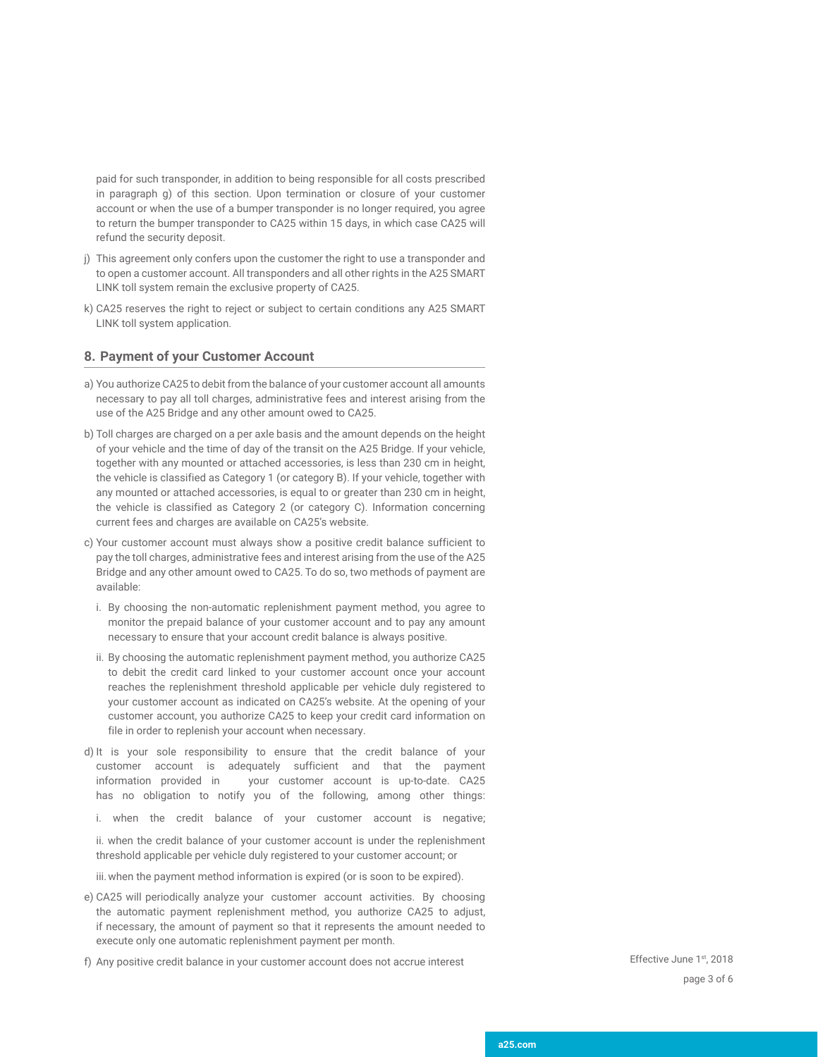paid for such transponder, in addition to being responsible for all costs prescribed in paragraph g) of this section. Upon termination or closure of your customer account or when the use of a bumper transponder is no longer required, you agree to return the bumper transponder to CA25 within 15 days, in which case CA25 will refund the security deposit.

- j) This agreement only confers upon the customer the right to use a transponder and to open a customer account. All transponders and all other rights in the A25 SMART LINK toll system remain the exclusive property of CA25.
- k) CA25 reserves the right to reject or subject to certain conditions any A25 SMART LINK toll system application.

#### **8. Payment of your Customer Account**

- a) You authorize CA25 to debit from the balance of your customer account all amounts necessary to pay all toll charges, administrative fees and interest arising from the use of the A25 Bridge and any other amount owed to CA25.
- b) Toll charges are charged on a per axle basis and the amount depends on the height of your vehicle and the time of day of the transit on the A25 Bridge. If your vehicle, together with any mounted or attached accessories, is less than 230 cm in height, the vehicle is classified as Category 1 (or category B). If your vehicle, together with any mounted or attached accessories, is equal to or greater than 230 cm in height, the vehicle is classified as Category 2 (or category C). Information concerning current fees and charges are available on CA25's website.
- c) Your customer account must always show a positive credit balance sufficient to pay the toll charges, administrative fees and interest arising from the use of the A25 Bridge and any other amount owed to CA25. To do so, two methods of payment are available:
	- i. By choosing the non-automatic replenishment payment method, you agree to monitor the prepaid balance of your customer account and to pay any amount necessary to ensure that your account credit balance is always positive.
	- ii. By choosing the automatic replenishment payment method, you authorize CA25 to debit the credit card linked to your customer account once your account reaches the replenishment threshold applicable per vehicle duly registered to your customer account as indicated on CA25's website. At the opening of your customer account, you authorize CA25 to keep your credit card information on file in order to replenish your account when necessary.
- d) It is your sole responsibility to ensure that the credit balance of your customer account is adequately sufficient and that the payment information provided in your customer account is up-to-date. CA25 has no obligation to notify you of the following, among other things:
	- i. when the credit balance of your customer account is negative;

ii. when the credit balance of your customer account is under the replenishment threshold applicable per vehicle duly registered to your customer account; or

iii.when the payment method information is expired (or is soon to be expired).

- e) CA25 will periodically analyze your customer account activities. By choosing the automatic payment replenishment method, you authorize CA25 to adjust, if necessary, the amount of payment so that it represents the amount needed to execute only one automatic replenishment payment per month.
- f) Any positive credit balance in your customer account does not accrue interest

page 3 of 6 Effective June 1st, 2018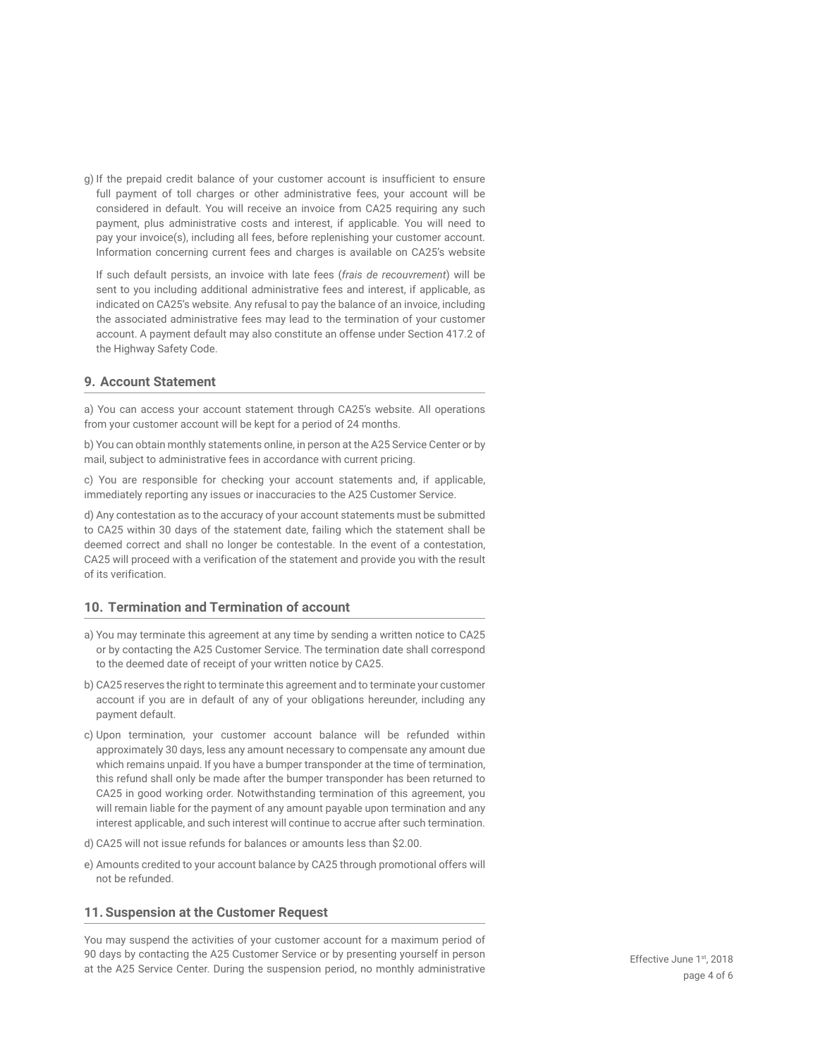g) If the prepaid credit balance of your customer account is insufficient to ensure full payment of toll charges or other administrative fees, your account will be considered in default. You will receive an invoice from CA25 requiring any such payment, plus administrative costs and interest, if applicable. You will need to pay your invoice(s), including all fees, before replenishing your customer account. Information concerning current fees and charges is available on CA25's website

If such default persists, an invoice with late fees (*frais de recouvrement*) will be sent to you including additional administrative fees and interest, if applicable, as indicated on CA25's website. Any refusal to pay the balance of an invoice, including the associated administrative fees may lead to the termination of your customer account. A payment default may also constitute an offense under Section 417.2 of the Highway Safety Code.

#### **9. Account Statement**

a) You can access your account statement through CA25's website. All operations from your customer account will be kept for a period of 24 months.

b) You can obtain monthly statements online, in person at the A25 Service Center or by mail, subject to administrative fees in accordance with current pricing.

c) You are responsible for checking your account statements and, if applicable, immediately reporting any issues or inaccuracies to the A25 Customer Service.

d) Any contestation as to the accuracy of your account statements must be submitted to CA25 within 30 days of the statement date, failing which the statement shall be deemed correct and shall no longer be contestable. In the event of a contestation, CA25 will proceed with a verification of the statement and provide you with the result of its verification.

#### **10. Termination and Termination of account**

- a) You may terminate this agreement at any time by sending a written notice to CA25 or by contacting the A25 Customer Service. The termination date shall correspond to the deemed date of receipt of your written notice by CA25.
- b) CA25 reserves the right to terminate this agreement and to terminate your customer account if you are in default of any of your obligations hereunder, including any payment default.
- c) Upon termination, your customer account balance will be refunded within approximately 30 days, less any amount necessary to compensate any amount due which remains unpaid. If you have a bumper transponder at the time of termination, this refund shall only be made after the bumper transponder has been returned to CA25 in good working order. Notwithstanding termination of this agreement, you will remain liable for the payment of any amount payable upon termination and any interest applicable, and such interest will continue to accrue after such termination.
- d) CA25 will not issue refunds for balances or amounts less than \$2.00.
- e) Amounts credited to your account balance by CA25 through promotional offers will not be refunded.

#### **11. Suspension at the Customer Request**

You may suspend the activities of your customer account for a maximum period of 90 days by contacting the A25 Customer Service or by presenting yourself in person at the A25 Service Center. During the suspension period, no monthly administrative page 4 of 6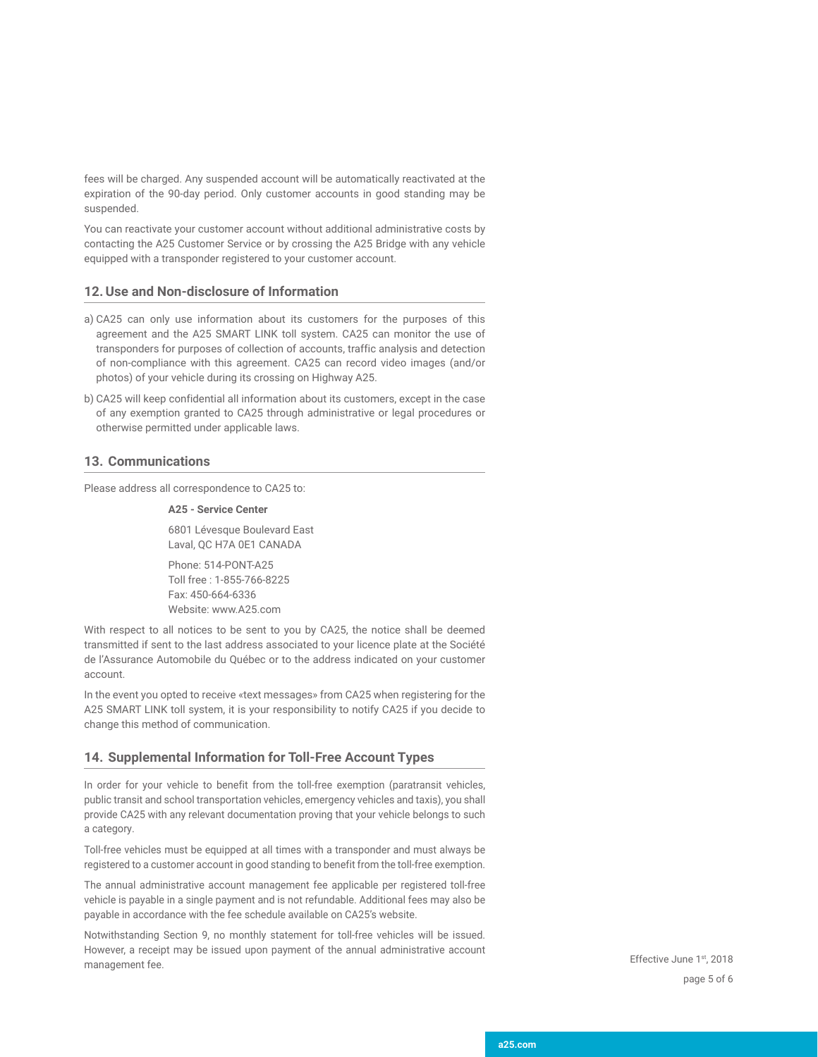fees will be charged. Any suspended account will be automatically reactivated at the expiration of the 90-day period. Only customer accounts in good standing may be suspended.

You can reactivate your customer account without additional administrative costs by contacting the A25 Customer Service or by crossing the A25 Bridge with any vehicle equipped with a transponder registered to your customer account.

#### **12.Use and Non-disclosure of Information**

- a) CA25 can only use information about its customers for the purposes of this agreement and the A25 SMART LINK toll system. CA25 can monitor the use of transponders for purposes of collection of accounts, traffic analysis and detection of non-compliance with this agreement. CA25 can record video images (and/or photos) of your vehicle during its crossing on Highway A25.
- b) CA25 will keep confidential all information about its customers, except in the case of any exemption granted to CA25 through administrative or legal procedures or otherwise permitted under applicable laws.

#### **13. Communications**

Please address all correspondence to CA25 to:

#### **A25 - Service Center**

6801 Lévesque Boulevard East Laval, QC H7A 0E1 CANADA

Phone: 514-PONT-A25 Toll free : 1-855-766-8225 Fax: 450-664-6336 Website: www.A25.com

With respect to all notices to be sent to you by CA25, the notice shall be deemed transmitted if sent to the last address associated to your licence plate at the Société de l'Assurance Automobile du Québec or to the address indicated on your customer account.

In the event you opted to receive «text messages» from CA25 when registering for the A25 SMART LINK toll system, it is your responsibility to notify CA25 if you decide to change this method of communication.

#### **14. Supplemental Information for Toll-Free Account Types**

In order for your vehicle to benefit from the toll-free exemption (paratransit vehicles, public transit and school transportation vehicles, emergency vehicles and taxis), you shall provide CA25 with any relevant documentation proving that your vehicle belongs to such a category.

Toll-free vehicles must be equipped at all times with a transponder and must always be registered to a customer account in good standing to benefit from the toll-free exemption.

The annual administrative account management fee applicable per registered toll-free vehicle is payable in a single payment and is not refundable. Additional fees may also be payable in accordance with the fee schedule available on CA25's website.

Notwithstanding Section 9, no monthly statement for toll-free vehicles will be issued. However, a receipt may be issued upon payment of the annual administrative account management fee. The contract of the contract of the contract of the Effective June 1st, 2018

page 5 of 6